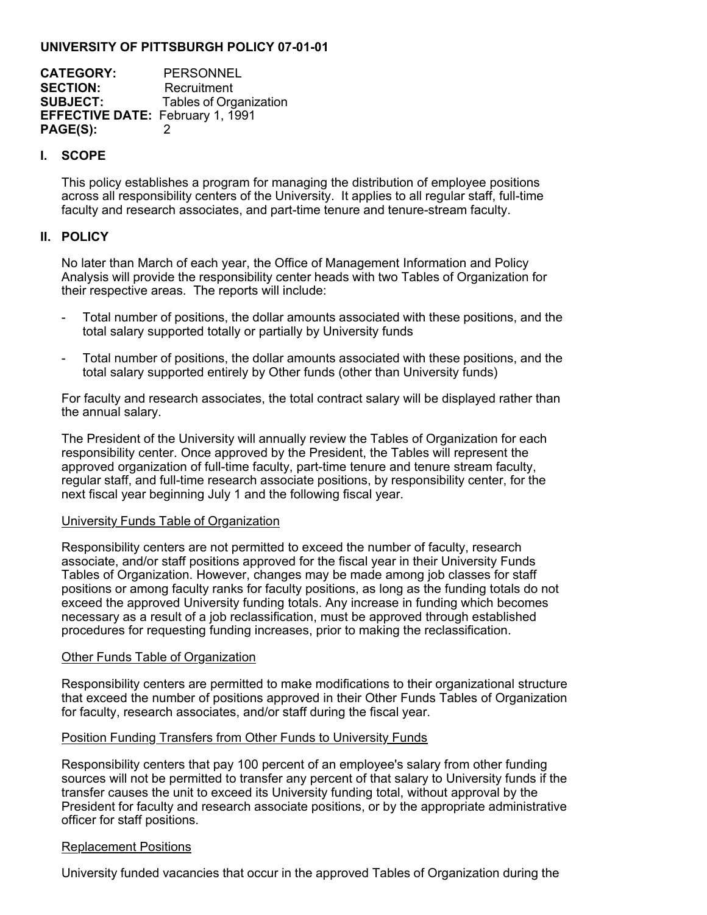### **UNIVERSITY OF PITTSBURGH POLICY 07-01-01**

| <b>CATEGORY:</b>                        | <b>PERSONNEL</b>              |
|-----------------------------------------|-------------------------------|
| <b>SECTION:</b>                         | Recruitment                   |
| <b>SUBJECT:</b>                         | <b>Tables of Organization</b> |
| <b>EFFECTIVE DATE: February 1, 1991</b> |                               |
| <b>PAGE(S):</b>                         | 2                             |

## **I. SCOPE**

This policy establishes a program for managing the distribution of employee positions across all responsibility centers of the University. It applies to all regular staff, full-time faculty and research associates, and part-time tenure and tenure-stream faculty.

## **II. POLICY**

No later than March of each year, the Office of Management Information and Policy Analysis will provide the responsibility center heads with two Tables of Organization for their respective areas. The reports will include:

- Total number of positions, the dollar amounts associated with these positions, and the total salary supported totally or partially by University funds
- Total number of positions, the dollar amounts associated with these positions, and the total salary supported entirely by Other funds (other than University funds)

For faculty and research associates, the total contract salary will be displayed rather than the annual salary.

The President of the University will annually review the Tables of Organization for each responsibility center. Once approved by the President, the Tables will represent the approved organization of full-time faculty, part-time tenure and tenure stream faculty, regular staff, and full-time research associate positions, by responsibility center, for the next fiscal year beginning July 1 and the following fiscal year.

## University Funds Table of Organization

Responsibility centers are not permitted to exceed the number of faculty, research associate, and/or staff positions approved for the fiscal year in their University Funds Tables of Organization. However, changes may be made among job classes for staff positions or among faculty ranks for faculty positions, as long as the funding totals do not exceed the approved University funding totals. Any increase in funding which becomes necessary as a result of a job reclassification, must be approved through established procedures for requesting funding increases, prior to making the reclassification.

## Other Funds Table of Organization

Responsibility centers are permitted to make modifications to their organizational structure that exceed the number of positions approved in their Other Funds Tables of Organization for faculty, research associates, and/or staff during the fiscal year.

# Position Funding Transfers from Other Funds to University Funds

Responsibility centers that pay 100 percent of an employee's salary from other funding sources will not be permitted to transfer any percent of that salary to University funds if the transfer causes the unit to exceed its University funding total, without approval by the President for faculty and research associate positions, or by the appropriate administrative officer for staff positions.

# Replacement Positions

University funded vacancies that occur in the approved Tables of Organization during the